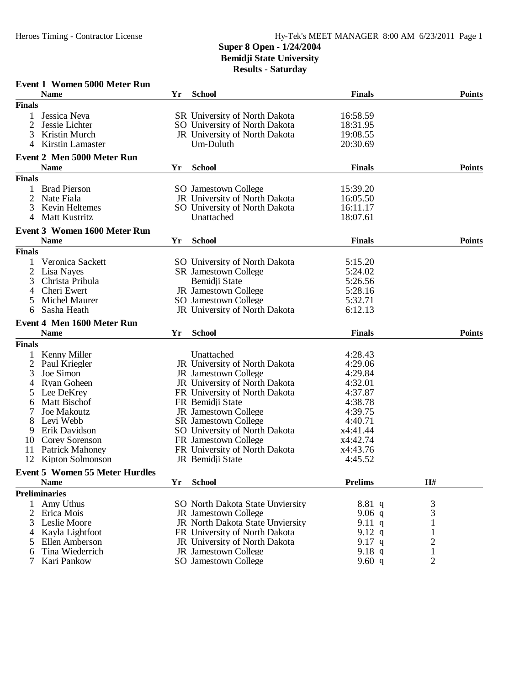|               | <b>Event 1 Women 5000 Meter Run</b>                  |    |                                                     |                    |                                |               |
|---------------|------------------------------------------------------|----|-----------------------------------------------------|--------------------|--------------------------------|---------------|
|               | <b>Name</b>                                          | Yr | <b>School</b>                                       | <b>Finals</b>      |                                | <b>Points</b> |
| <b>Finals</b> |                                                      |    |                                                     |                    |                                |               |
|               | Jessica Neva                                         |    | SR University of North Dakota                       | 16:58.59           |                                |               |
|               | Jessie Lichter                                       |    | SO University of North Dakota                       | 18:31.95           |                                |               |
| 3             | Kristin Murch                                        |    | JR University of North Dakota                       | 19:08.55           |                                |               |
| 4             | Kirstin Lamaster                                     |    | Um-Duluth                                           | 20:30.69           |                                |               |
|               | <b>Event 2 Men 5000 Meter Run</b>                    |    |                                                     |                    |                                |               |
|               | <b>Name</b>                                          | Yr | <b>School</b>                                       | <b>Finals</b>      |                                | <b>Points</b> |
| <b>Finals</b> |                                                      |    |                                                     |                    |                                |               |
| 1             | <b>Brad Pierson</b>                                  |    | SO Jamestown College                                | 15:39.20           |                                |               |
| 2             | Nate Fiala                                           |    | JR University of North Dakota                       | 16:05.50           |                                |               |
| 3             | <b>Kevin Heltemes</b>                                |    | SO University of North Dakota                       | 16:11.17           |                                |               |
| 4             | Matt Kustritz                                        |    | Unattached                                          | 18:07.61           |                                |               |
|               |                                                      |    |                                                     |                    |                                |               |
|               | Event 3 Women 1600 Meter Run<br><b>Name</b>          | Yr | <b>School</b>                                       | <b>Finals</b>      |                                | <b>Points</b> |
|               |                                                      |    |                                                     |                    |                                |               |
| <b>Finals</b> |                                                      |    |                                                     |                    |                                |               |
|               | Veronica Sackett                                     |    | SO University of North Dakota                       | 5:15.20            |                                |               |
| 2             | Lisa Nayes                                           |    | <b>SR</b> Jamestown College                         | 5:24.02            |                                |               |
| 3             | Christa Pribula                                      |    | Bemidji State                                       | 5:26.56            |                                |               |
| 4             | Cheri Ewert                                          |    | <b>JR</b> Jamestown College                         | 5:28.16            |                                |               |
| 5             | Michel Maurer                                        |    | <b>SO</b> Jamestown College                         | 5:32.71            |                                |               |
| 6             | Sasha Heath                                          |    | JR University of North Dakota                       | 6:12.13            |                                |               |
|               | <b>Event 4 Men 1600 Meter Run</b>                    |    |                                                     |                    |                                |               |
|               | <b>Name</b>                                          | Yr | <b>School</b>                                       | <b>Finals</b>      |                                | <b>Points</b> |
| <b>Finals</b> |                                                      |    |                                                     |                    |                                |               |
|               | Kenny Miller                                         |    | Unattached                                          | 4:28.43            |                                |               |
| 2             | Paul Kriegler                                        |    | JR University of North Dakota                       | 4:29.06            |                                |               |
| 3             | Joe Simon                                            |    | <b>JR</b> Jamestown College                         | 4:29.84            |                                |               |
| 4             | Ryan Goheen                                          |    | JR University of North Dakota                       | 4:32.01            |                                |               |
| 5             | Lee DeKrey                                           |    | FR University of North Dakota                       | 4:37.87            |                                |               |
| 6             | Matt Bischof                                         |    | FR Bemidji State                                    | 4:38.78            |                                |               |
|               | Joe Makoutz                                          |    | <b>JR</b> Jamestown College                         | 4:39.75            |                                |               |
| 8             | Levi Webb                                            |    | <b>SR</b> Jamestown College                         | 4:40.71            |                                |               |
| 9             | Erik Davidson                                        |    | SO University of North Dakota                       | x4:41.44           |                                |               |
| 10            | Corey Sorenson                                       |    | FR Jamestown College                                | x4:42.74           |                                |               |
| 11            | <b>Patrick Mahoney</b>                               |    | FR University of North Dakota                       | x4:43.76           |                                |               |
| 12            |                                                      |    |                                                     |                    |                                |               |
|               |                                                      |    |                                                     | 4:45.52            |                                |               |
|               | Kipton Solmonson                                     |    | JR Bemidji State                                    |                    |                                |               |
|               | <b>Event 5 Women 55 Meter Hurdles</b><br><b>Name</b> | Yr |                                                     |                    |                                |               |
|               |                                                      |    | <b>School</b>                                       | <b>Prelims</b>     | H#                             |               |
|               | <b>Preliminaries</b>                                 |    |                                                     |                    |                                |               |
|               | Amy Uthus                                            |    | SO North Dakota State Unviersity                    | $8.81\ q$          | 3                              |               |
| 2             | Erica Mois                                           |    | <b>JR</b> Jamestown College                         | 9.06 $q$           | 3                              |               |
| 3             | Leslie Moore                                         |    | JR North Dakota State Unviersity                    | 9.11 $q$           | 1                              |               |
| 4             | Kayla Lightfoot                                      |    | FR University of North Dakota                       | 9.12 q             |                                |               |
| 5             | Ellen Amberson                                       |    | JR University of North Dakota                       | 9.17 q             | $\overline{c}$                 |               |
| 6<br>7        | Tina Wiederrich<br>Kari Pankow                       |    | <b>JR</b> Jamestown College<br>SO Jamestown College | 9.18 q<br>9.60 $q$ | $\mathbf{1}$<br>$\overline{2}$ |               |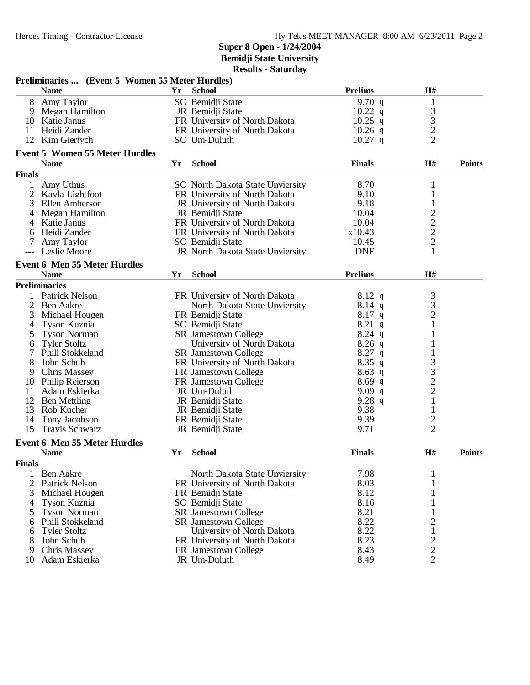#### **Super 8 Open - 1/24/2004 Bemidji State University**

|               | Preliminaries  (Event 5 Women 55 Meter Hurdles) |    |                                  |                  |                                            |               |
|---------------|-------------------------------------------------|----|----------------------------------|------------------|--------------------------------------------|---------------|
|               | <b>Name</b>                                     | Yr | <b>School</b>                    | <b>Prelims</b>   | H#                                         |               |
| 8             | Amy Taylor                                      |    | SO Bemidii State                 | 9.70q            | $\mathbf{1}$                               |               |
| 9             | Megan Hamilton                                  |    | JR Bemidji State                 | $10.22$ q        |                                            |               |
| 10            | Katie Janus                                     |    | FR University of North Dakota    | $10.25$ q        | $\begin{array}{c} 3 \\ 3 \\ 2 \end{array}$ |               |
| 11            | Heidi Zander                                    |    | FR University of North Dakota    | $10.26$ q        |                                            |               |
| 12            | Kim Giertych                                    |    | SO Um-Duluth                     | $10.27$ q        | $\overline{2}$                             |               |
|               | <b>Event 5 Women 55 Meter Hurdles</b>           |    |                                  |                  |                                            |               |
|               | <b>Name</b>                                     | Yr | <b>School</b>                    | <b>Finals</b>    | H#                                         | <b>Points</b> |
| <b>Finals</b> |                                                 |    |                                  |                  |                                            |               |
| $\mathbf{1}$  | Amy Uthus                                       |    | SO North Dakota State Unviersity | 8.70             | 1                                          |               |
| 2             | Kayla Lightfoot                                 |    | FR University of North Dakota    | 9.10             | 1                                          |               |
| 3             | Ellen Amberson                                  |    | JR University of North Dakota    | 9.18             | $\mathbf{1}$                               |               |
| 4             | Megan Hamilton                                  |    | JR Bemidji State                 | 10.04            |                                            |               |
| 4             | Katie Janus                                     |    | FR University of North Dakota    | 10.04            | $\begin{array}{c} 2 \\ 2 \\ 2 \end{array}$ |               |
| 6             | Heidi Zander                                    |    | FR University of North Dakota    | x10.43           |                                            |               |
| 7             | Amy Taylor                                      |    | SO Bemidji State                 | 10.45            |                                            |               |
|               | Leslie Moore                                    |    | JR North Dakota State Unviersity | <b>DNF</b>       | 1                                          |               |
|               | <b>Event 6 Men 55 Meter Hurdles</b>             |    |                                  |                  |                                            |               |
|               | <b>Name</b>                                     | Yr | <b>School</b>                    | <b>Prelims</b>   | H#                                         |               |
|               | <b>Preliminaries</b>                            |    |                                  |                  |                                            |               |
| 1             | <b>Patrick Nelson</b>                           |    | FR University of North Dakota    | $8.12 \text{ q}$ | 3                                          |               |
| 2             | <b>Ben Aakre</b>                                |    | North Dakota State Unviersity    | $8.14$ q         |                                            |               |
| 3             | Michael Hougen                                  |    | FR Bemidji State                 | $8.17$ q         | 3<br>$\overline{c}$                        |               |
| 4             | Tyson Kuznia                                    |    | SO Bemidii State                 | $8.21$ q         | 1                                          |               |
| 5             | <b>Tyson Norman</b>                             |    | <b>SR</b> Jamestown College      | $8.24$ q         | 1                                          |               |
|               |                                                 |    |                                  |                  |                                            |               |
| 6             | <b>Tyler Stoltz</b>                             |    | University of North Dakota       | $8.26$ q         | 1                                          |               |
|               | Phill Stokkeland                                |    | <b>SR</b> Jamestown College      | $8.27$ q         | $\mathbf{1}$                               |               |
| 8             | John Schuh                                      |    | FR University of North Dakota    | $8.35$ q         | $\begin{array}{c} 3 \\ 3 \\ 2 \end{array}$ |               |
| 9             | <b>Chris Massey</b>                             |    | FR Jamestown College             | $8.63$ q         |                                            |               |
| 10            | <b>Philip Reierson</b>                          |    | FR Jamestown College             | 8.69q            |                                            |               |
| 11            | Adam Eskierka                                   |    | JR Um-Duluth                     | 9.09q            |                                            |               |
| 12            | <b>Ben Mettling</b>                             |    | JR Bemidji State                 | 9.28 $q$         | $\mathbf{1}$                               |               |
| 13            | Rob Kucher                                      |    | JR Bemidji State                 | 9.38             | $\mathbf{1}$                               |               |
| 14            | Tony Jacobson                                   |    | FR Bemidji State                 | 9.39             | $\overline{\mathbf{c}}$<br>$\overline{2}$  |               |
| 15            | Travis Schwarz                                  |    | JR Bemidji State                 | 9.71             |                                            |               |
|               | <b>Event 6 Men 55 Meter Hurdles</b>             |    |                                  |                  |                                            |               |
|               | <b>Name</b>                                     | Yr | <b>School</b>                    | <b>Finals</b>    | H#                                         | <b>Points</b> |
| <b>Finals</b> |                                                 |    |                                  |                  |                                            |               |
| 1             | <b>Ben Aakre</b>                                |    | North Dakota State Unviersity    | 7.98             | 1                                          |               |
| 2             | <b>Patrick Nelson</b>                           |    | FR University of North Dakota    | 8.03             | 1                                          |               |
| 3             | Michael Hougen                                  |    | FR Bemidji State                 | 8.12             |                                            |               |
| 4             | Tyson Kuznia                                    |    | SO Bemidji State                 | 8.16             | 1                                          |               |
| 5             | <b>Tyson Norman</b>                             |    | <b>SR</b> Jamestown College      | 8.21             |                                            |               |
| 6             | <b>Phill Stokkeland</b>                         |    | <b>SR</b> Jamestown College      | 8.22             | $\overline{c}$                             |               |
| 6             | <b>Tyler Stoltz</b>                             |    | University of North Dakota       | 8.22             | $\mathbf{1}$                               |               |
| 8             | John Schuh                                      |    | FR University of North Dakota    | 8.23             | $\overline{c}$                             |               |
| 9             | Chris Massey                                    |    | FR Jamestown College             | 8.43             | $\overline{c}$                             |               |
| 10            | Adam Eskierka                                   |    | JR Um-Duluth                     | 8.49             | $\overline{2}$                             |               |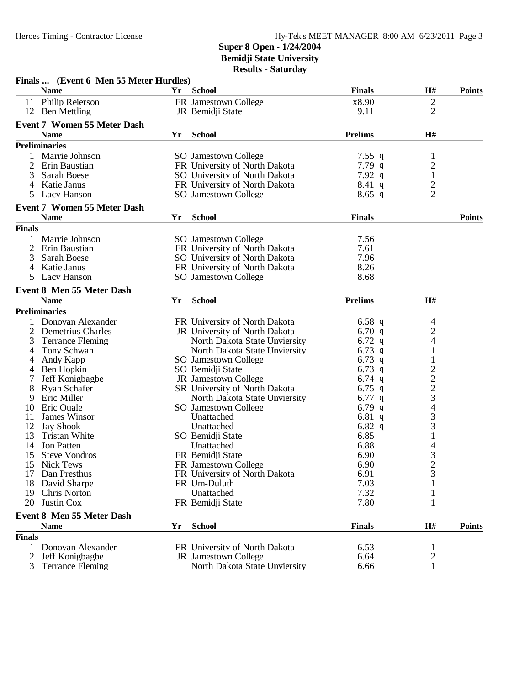|                | Finals  (Event 6 Men 55 Meter Hurdles)          |    |                               |                |                                            |               |
|----------------|-------------------------------------------------|----|-------------------------------|----------------|--------------------------------------------|---------------|
|                | <b>Name</b>                                     | Yr | <b>School</b>                 | <b>Finals</b>  | H#                                         | <b>Points</b> |
|                | 11 Philip Reierson                              |    | FR Jamestown College          | x8.90          | $\overline{c}$                             |               |
| 12             | <b>Ben Mettling</b>                             |    | JR Bemidji State              | 9.11           | $\overline{2}$                             |               |
|                | <b>Event 7 Women 55 Meter Dash</b>              |    |                               |                |                                            |               |
|                | <b>Name</b>                                     | Yr | <b>School</b>                 | <b>Prelims</b> | H#                                         |               |
|                | <b>Preliminaries</b>                            |    |                               |                |                                            |               |
| 1              | Marrie Johnson                                  |    | <b>SO</b> Jamestown College   | $7.55$ q       | $\mathbf{1}$                               |               |
| $\overline{2}$ | Erin Baustian                                   |    | FR University of North Dakota | 7.79 $q$       | $\overline{\mathbf{c}}$                    |               |
| 3              | Sarah Boese                                     |    | SO University of North Dakota | 7.92 $q$       | $\mathbf 1$                                |               |
| 4              | Katie Janus                                     |    | FR University of North Dakota | $8.41\ q$      |                                            |               |
| 5              | Lacy Hanson                                     |    | <b>SO Jamestown College</b>   | $8.65$ q       | $\frac{2}{2}$                              |               |
|                | <b>Event 7 Women 55 Meter Dash</b>              |    |                               |                |                                            |               |
|                | <b>Name</b>                                     | Yr | <b>School</b>                 | <b>Finals</b>  |                                            | <b>Points</b> |
| <b>Finals</b>  |                                                 |    |                               |                |                                            |               |
|                | Marrie Johnson                                  |    | SO Jamestown College          | 7.56           |                                            |               |
| 2              | Erin Baustian                                   |    | FR University of North Dakota | 7.61           |                                            |               |
| 3              | Sarah Boese                                     |    | SO University of North Dakota | 7.96           |                                            |               |
| 4              | Katie Janus                                     |    | FR University of North Dakota | 8.26           |                                            |               |
| 5              | Lacy Hanson                                     |    | SO Jamestown College          | 8.68           |                                            |               |
|                |                                                 |    |                               |                |                                            |               |
|                | <b>Event 8 Men 55 Meter Dash</b>                |    |                               |                |                                            |               |
|                | <b>Name</b>                                     | Yr | <b>School</b>                 | <b>Prelims</b> | H#                                         |               |
|                | <b>Preliminaries</b>                            |    |                               |                |                                            |               |
| 1              | Donovan Alexander                               |    | FR University of North Dakota | 6.58 $q$       | 4                                          |               |
| $\overline{2}$ | Demetrius Charles                               |    | JR University of North Dakota | 6.70 $q$       | $\frac{2}{4}$                              |               |
| 3              | <b>Terrance Fleming</b>                         |    | North Dakota State Unviersity | 6.72 q         |                                            |               |
| 4              | Tony Schwan                                     |    | North Dakota State Unviersity | 6.73 q         | $\mathbf{1}$                               |               |
| 4              | Andy Kapp                                       |    | SO Jamestown College          | 6.73 $q$       | $\mathbf{1}$                               |               |
| 4              | Ben Hopkin                                      |    | SO Bemidji State              | 6.73 q         | $\begin{array}{c} 2 \\ 2 \\ 3 \end{array}$ |               |
|                | Jeff Konigbagbe                                 |    | <b>JR</b> Jamestown College   | 6.74 $q$       |                                            |               |
| 8              | Ryan Schafer                                    |    | SR University of North Dakota | 6.75 q         |                                            |               |
| 9              | Eric Miller                                     |    | North Dakota State Unviersity | 6.77 $q$       |                                            |               |
| 10             | Eric Quale                                      |    | SO Jamestown College          | 6.79 $q$       |                                            |               |
| 11             | James Winsor                                    |    | Unattached                    | 6.81 $q$       | $\begin{array}{c} 4 \\ 3 \\ 3 \end{array}$ |               |
| 12             | <b>Jay Shook</b>                                |    | Unattached                    | 6.82 q         |                                            |               |
| 13             | <b>Tristan White</b>                            |    | SO Bemidji State              | 6.85           | $\mathbf{1}$                               |               |
| 14             | Jon Patten                                      |    | Unattached                    | 6.88           | $\overline{\mathcal{L}}$                   |               |
| 15             | <b>Steve Vondros</b>                            |    | FR Bemidji State              | 6.90           | 3                                          |               |
| 15             | Nick Tews                                       |    | FR Jamestown College          | 6.90           | $\overline{\mathbf{c}}$                    |               |
| 17             | Dan Presthus                                    |    | FR University of North Dakota | 6.91           | 3                                          |               |
| 18             | David Sharpe                                    |    | FR Um-Duluth                  | 7.03           |                                            |               |
| 19             | Chris Norton                                    |    | Unattached                    | 7.32           | 1                                          |               |
| 20             | Justin Cox                                      |    | FR Bemidji State              | 7.80           | 1                                          |               |
|                | <b>Event 8 Men 55 Meter Dash</b><br><b>Name</b> | Yr | <b>School</b>                 | <b>Finals</b>  | H#                                         | <b>Points</b> |
| <b>Finals</b>  |                                                 |    |                               |                |                                            |               |
| 1              | Donovan Alexander                               |    | FR University of North Dakota | 6.53           | 1                                          |               |
| 2              | Jeff Konigbagbe                                 |    | <b>JR</b> Jamestown College   | 6.64           | $\mathbf{2}$                               |               |
| 3              | <b>Terrance Fleming</b>                         |    | North Dakota State Unviersity | 6.66           | $\mathbf{1}$                               |               |
|                |                                                 |    |                               |                |                                            |               |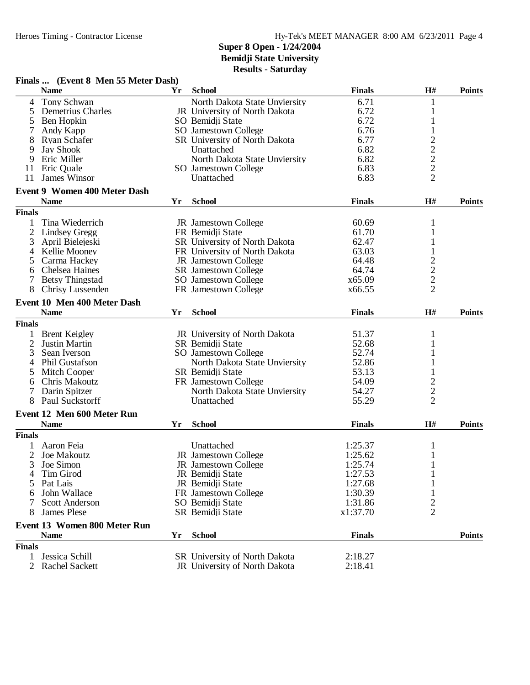**Finals ... (Event 8 Men 55 Meter Dash)**

|                | vent o with so within D<br><b>Name</b> | Yr | <b>School</b>                 | <b>Finals</b> | H#                                                | <b>Points</b> |
|----------------|----------------------------------------|----|-------------------------------|---------------|---------------------------------------------------|---------------|
| 4              | Tony Schwan                            |    | North Dakota State Unviersity | 6.71          | 1                                                 |               |
| 5              | Demetrius Charles                      |    | JR University of North Dakota | 6.72          | 1                                                 |               |
| 5              | Ben Hopkin                             |    | SO Bemidji State              | 6.72          | 1                                                 |               |
|                | Andy Kapp                              |    | SO Jamestown College          | 6.76          | 1                                                 |               |
| 8              | Ryan Schafer                           |    | SR University of North Dakota | 6.77          |                                                   |               |
| 9              | <b>Jay Shook</b>                       |    | Unattached                    | 6.82          | $\begin{array}{c}\n2 \\ 2 \\ 2 \\ 2\n\end{array}$ |               |
|                |                                        |    |                               | 6.82          |                                                   |               |
| 9              | Eric Miller                            |    | North Dakota State Unviersity |               |                                                   |               |
| 11             | Eric Quale                             |    | SO Jamestown College          | 6.83          |                                                   |               |
| 11             | James Winsor                           |    | Unattached                    | 6.83          |                                                   |               |
|                | <b>Event 9 Women 400 Meter Dash</b>    |    |                               |               |                                                   |               |
|                | <b>Name</b>                            | Yr | <b>School</b>                 | <b>Finals</b> | H#                                                | <b>Points</b> |
| <b>Finals</b>  |                                        |    |                               |               |                                                   |               |
| 1              | Tina Wiederrich                        |    | JR Jamestown College          | 60.69         | 1                                                 |               |
| $\overline{2}$ | <b>Lindsey Gregg</b>                   |    | FR Bemidji State              | 61.70         | 1                                                 |               |
| 3              | April Bielejeski                       |    | SR University of North Dakota | 62.47         |                                                   |               |
| 4              | Kellie Mooney                          |    | FR University of North Dakota | 63.03         |                                                   |               |
| 5              | Carma Hackey                           |    | JR Jamestown College          | 64.48         |                                                   |               |
| 6              | Chelsea Haines                         |    | <b>SR</b> Jamestown College   | 64.74         | $\frac{2}{2}$                                     |               |
| 7              | <b>Betsy Thingstad</b>                 |    | SO Jamestown College          | x65.09        |                                                   |               |
| 8              | Chrisy Lussenden                       |    | FR Jamestown College          | x66.55        | $\overline{2}$                                    |               |
|                | Event 10 Men 400 Meter Dash            |    |                               |               |                                                   |               |
|                | <b>Name</b>                            | Yr | <b>School</b>                 | <b>Finals</b> | H#                                                | <b>Points</b> |
| <b>Finals</b>  |                                        |    |                               |               |                                                   |               |
|                |                                        |    |                               |               |                                                   |               |
| 1              | <b>Brent Keigley</b>                   |    | JR University of North Dakota | 51.37         | 1                                                 |               |
| 2              | Justin Martin                          |    | SR Bemidji State              | 52.68         | 1                                                 |               |
| 3              | Sean Iverson                           |    | SO Jamestown College          | 52.74         |                                                   |               |
| 4              | Phil Gustafson                         |    | North Dakota State Unviersity | 52.86         |                                                   |               |
| 5              | Mitch Cooper                           |    | SR Bemidji State              | 53.13         | 1                                                 |               |
| 6              | Chris Makoutz                          |    | FR Jamestown College          | 54.09         | $\overline{\mathbf{c}}$                           |               |
|                | Darin Spitzer                          |    | North Dakota State Unviersity | 54.27         | $\overline{c}$                                    |               |
| 8              | Paul Suckstorff                        |    | Unattached                    | 55.29         | $\overline{2}$                                    |               |
|                | Event 12 Men 600 Meter Run             |    |                               |               |                                                   |               |
|                | <b>Name</b>                            | Yr | <b>School</b>                 | <b>Finals</b> | H#                                                | <b>Points</b> |
| <b>Finals</b>  |                                        |    |                               |               |                                                   |               |
|                | Aaron Feia                             |    | Unattached                    | 1:25.37       | $\mathbf{1}$                                      |               |
| $\overline{2}$ | Joe Makoutz                            |    | <b>JR</b> Jamestown College   | 1:25.62       | $\mathbf{1}$                                      |               |
| 3              | Joe Simon                              |    | <b>JR</b> Jamestown College   | 1:25.74       | 1                                                 |               |
| 4              | Tim Girod                              |    | JR Bemidji State              | 1:27.53       |                                                   |               |
| 5              | Pat Lais                               |    | JR Bemidji State              | 1:27.68       | 1<br>1                                            |               |
|                |                                        |    |                               |               |                                                   |               |
| 6              | John Wallace                           |    | FR Jamestown College          | 1:30.39       | 1                                                 |               |
|                | Scott Anderson                         |    | SO Bemidji State              | 1:31.86       | $\overline{\mathbf{c}}$                           |               |
| 8              | James Plese                            |    | SR Bemidji State              | x1:37.70      | $\overline{2}$                                    |               |
|                | <b>Event 13 Women 800 Meter Run</b>    |    |                               |               |                                                   |               |
|                | <b>Name</b>                            | Yr | <b>School</b>                 | <b>Finals</b> |                                                   | <b>Points</b> |
| <b>Finals</b>  |                                        |    |                               |               |                                                   |               |
| 1              | Jessica Schill                         |    | SR University of North Dakota | 2:18.27       |                                                   |               |
| $\overline{2}$ | Rachel Sackett                         |    | JR University of North Dakota | 2:18.41       |                                                   |               |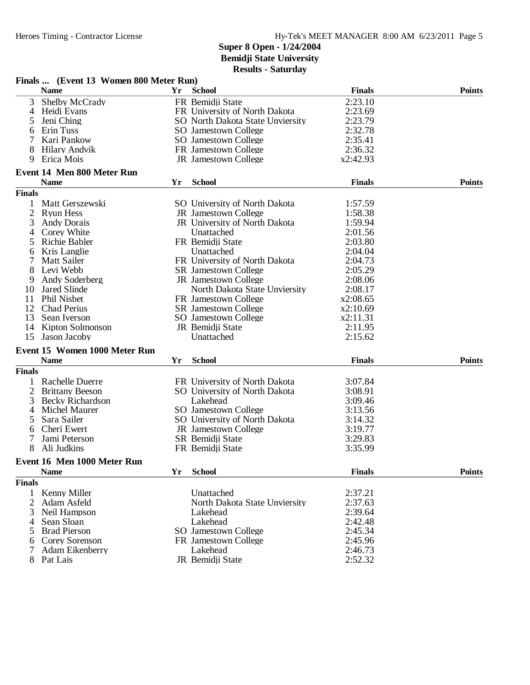#### **Super 8 Open - 1/24/2004 Bemidji State University**

|                | Finals  (Event 13 Women 800 Meter Run) |    |                                  |               |               |
|----------------|----------------------------------------|----|----------------------------------|---------------|---------------|
|                | <b>Name</b>                            | Yr | <b>School</b>                    | <b>Finals</b> | <b>Points</b> |
| 3              | Shelby McCrady                         |    | FR Bemidji State                 | 2:23.10       |               |
| 4              | Heidi Evans                            |    | FR University of North Dakota    | 2:23.69       |               |
| 5              | Jeni Ching                             |    | SO North Dakota State Unviersity | 2:23.79       |               |
| 6              | Erin Tuss                              |    | <b>SO</b> Jamestown College      | 2:32.78       |               |
| 7              | Kari Pankow                            |    | SO Jamestown College             | 2:35.41       |               |
| 8              | <b>Hilary Andvik</b>                   |    | FR Jamestown College             | 2:36.32       |               |
| 9              | Erica Mois                             |    | <b>JR</b> Jamestown College      | x2:42.93      |               |
|                | Event 14 Men 800 Meter Run             |    |                                  |               |               |
|                | <b>Name</b>                            | Yr | <b>School</b>                    | <b>Finals</b> | <b>Points</b> |
| <b>Finals</b>  |                                        |    |                                  |               |               |
| 1              | Matt Gerszewski                        |    | SO University of North Dakota    | 1:57.59       |               |
| $\overline{2}$ | <b>Ryun Hess</b>                       |    | <b>JR</b> Jamestown College      | 1:58.38       |               |
| 3              | <b>Andy Dorais</b>                     |    | JR University of North Dakota    | 1:59.94       |               |
| 4              | Corey White                            |    | Unattached                       | 2:01.56       |               |
| 5              | Richie Babler                          |    | FR Bemidji State                 | 2:03.80       |               |
| 6              | Kris Langlie                           |    | Unattached                       | 2:04.04       |               |
| 7              | Matt Sailer                            |    | FR University of North Dakota    | 2:04.73       |               |
|                | Levi Webb                              |    |                                  | 2:05.29       |               |
| 8              |                                        |    | <b>SR</b> Jamestown College      | 2:08.06       |               |
| 9              | Andy Soderberg                         |    | <b>JR</b> Jamestown College      | 2:08.17       |               |
| 10             | <b>Jared Slinde</b>                    |    | North Dakota State Unviersity    |               |               |
| 11             | Phil Nisbet                            |    | FR Jamestown College             | x2:08.65      |               |
| 12             | <b>Chad Perius</b>                     |    | <b>SR</b> Jamestown College      | x2:10.69      |               |
| 13             | Sean Iverson                           |    | <b>SO Jamestown College</b>      | x2:11.31      |               |
| 14             | Kipton Solmonson                       |    | JR Bemidji State                 | 2:11.95       |               |
| 15             | Jason Jacoby                           |    | Unattached                       | 2:15.62       |               |
|                | <b>Event 15 Women 1000 Meter Run</b>   |    |                                  |               |               |
|                | <b>Name</b>                            | Yr | <b>School</b>                    | <b>Finals</b> | <b>Points</b> |
| <b>Finals</b>  |                                        |    |                                  |               |               |
|                | <b>Rachelle Duerre</b>                 |    | FR University of North Dakota    | 3:07.84       |               |
| 2              | <b>Brittany Beeson</b>                 |    | SO University of North Dakota    | 3:08.91       |               |
| 3              | Becky Richardson                       |    | Lakehead                         | 3:09.46       |               |
| 4              | Michel Maurer                          |    | <b>SO</b> Jamestown College      | 3:13.56       |               |
| 5              | Sara Sailer                            |    | SO University of North Dakota    | 3:14.32       |               |
| 6              | Cheri Ewert                            |    | <b>JR</b> Jamestown College      | 3:19.77       |               |
|                | Jami Peterson                          |    | SR Bemidii State                 | 3:29.83       |               |
| 8              | Ali Judkins                            |    | FR Bemidji State                 | 3:35.99       |               |
|                | Event 16 Men 1000 Meter Run            |    |                                  |               |               |
|                | <b>Name</b>                            | Yr | <b>School</b>                    | <b>Finals</b> | <b>Points</b> |
| <b>Finals</b>  |                                        |    |                                  |               |               |
|                | 1 Kenny Miller                         |    | Unattached                       | 2:37.21       |               |
| 2              | Adam Asfeld                            |    | North Dakota State Unviersity    | 2:37.63       |               |
| 3              | Neil Hampson                           |    | Lakehead                         | 2:39.64       |               |
|                | Sean Sloan                             |    | Lakehead                         | 2:42.48       |               |
|                | <b>Brad Pierson</b>                    |    | SO Jamestown College             | 2:45.34       |               |
| 5              | Corey Sorenson                         |    | FR Jamestown College             | 2:45.96       |               |
| 6              |                                        |    | Lakehead                         | 2:46.73       |               |
| 7              | Adam Eikenberry                        |    |                                  |               |               |
|                | 8 Pat Lais                             |    | JR Bemidji State                 | 2:52.32       |               |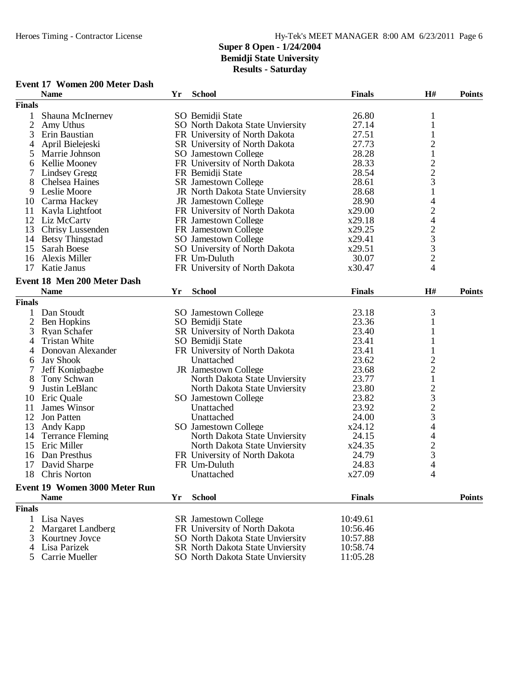#### **Event 17 Women 200 Meter Dash**

|                | <b>Name</b>                          | Yr | <b>School</b>                           | <b>Finals</b> | H#                                              | <b>Points</b> |
|----------------|--------------------------------------|----|-----------------------------------------|---------------|-------------------------------------------------|---------------|
| <b>Finals</b>  |                                      |    |                                         |               |                                                 |               |
| 1              | Shauna McInerney                     |    | SO Bemidji State                        | 26.80         | 1                                               |               |
| $\overline{2}$ | Amy Uthus                            |    | SO North Dakota State Unviersity        | 27.14         | $\mathbf{1}$                                    |               |
| 3              | Erin Baustian                        |    | FR University of North Dakota           | 27.51         | 1                                               |               |
| 4              | April Bielejeski                     |    | SR University of North Dakota           | 27.73         | $\overline{c}$                                  |               |
| 5              | Marrie Johnson                       |    | SO Jamestown College                    | 28.28         | $\mathbf{1}$                                    |               |
| 6              | Kellie Mooney                        |    | FR University of North Dakota           | 28.33         |                                                 |               |
| 7              | <b>Lindsey Gregg</b>                 |    | FR Bemidji State                        | 28.54         | $\begin{array}{c} 2 \\ 2 \\ 3 \\ 1 \end{array}$ |               |
| 8              | Chelsea Haines                       |    | <b>SR Jamestown College</b>             | 28.61         |                                                 |               |
| 9              | Leslie Moore                         |    | JR North Dakota State Unviersity        | 28.68         |                                                 |               |
| 10             | Carma Hackey                         |    |                                         | 28.90         |                                                 |               |
|                |                                      |    | JR Jamestown College                    |               | 4                                               |               |
| 11             | Kayla Lightfoot                      |    | FR University of North Dakota           | x29.00        | $\overline{c}$                                  |               |
|                | 12 Liz McCarty                       |    | FR Jamestown College                    | x29.18        | $\overline{\mathcal{A}}$                        |               |
| 13             | Chrisy Lussenden                     |    | FR Jamestown College                    | x29.25        | $\begin{bmatrix} 2 \\ 3 \\ 2 \end{bmatrix}$     |               |
| 14             | <b>Betsy Thingstad</b>               |    | SO Jamestown College                    | x29.41        |                                                 |               |
| 15             | Sarah Boese                          |    | SO University of North Dakota           | x29.51        |                                                 |               |
| 16             | <b>Alexis Miller</b>                 |    | FR Um-Duluth                            | 30.07         |                                                 |               |
| 17             | Katie Janus                          |    | FR University of North Dakota           | x30.47        | $\overline{4}$                                  |               |
|                | Event 18 Men 200 Meter Dash          |    |                                         |               |                                                 |               |
|                | <b>Name</b>                          | Yr | <b>School</b>                           | <b>Finals</b> | H#                                              | <b>Points</b> |
| <b>Finals</b>  |                                      |    |                                         |               |                                                 |               |
|                | Dan Stoudt                           |    | <b>SO</b> Jamestown College             | 23.18         |                                                 |               |
| 1              |                                      |    |                                         | 23.36         | 3                                               |               |
| $\overline{2}$ | <b>Ben Hopkins</b>                   |    | SO Bemidji State                        |               | $\mathbf{1}$                                    |               |
| 3              | Ryan Schafer                         |    | SR University of North Dakota           | 23.40         | 1                                               |               |
| 4              | <b>Tristan White</b>                 |    | SO Bemidji State                        | 23.41         | 1                                               |               |
| 4              | Donovan Alexander                    |    | FR University of North Dakota           | 23.41         | 1                                               |               |
| 6              | <b>Jay Shook</b>                     |    | Unattached                              | 23.62         |                                                 |               |
| 7              | Jeff Konigbagbe                      |    | JR Jamestown College                    | 23.68         | $\frac{2}{1}$                                   |               |
| 8              | Tony Schwan                          |    | North Dakota State Unviersity           | 23.77         |                                                 |               |
| 9              | Justin LeBlanc                       |    | North Dakota State Unviersity           | 23.80         | $\begin{array}{c} 2 \\ 3 \\ 2 \\ 3 \end{array}$ |               |
| 10             | Eric Quale                           |    | SO Jamestown College                    | 23.82         |                                                 |               |
| 11             | James Winsor                         |    | Unattached                              | 23.92         |                                                 |               |
| 12             | Jon Patten                           |    | Unattached                              | 24.00         |                                                 |               |
| 13             | Andy Kapp                            |    | SO Jamestown College                    | x24.12        | $\overline{\mathcal{A}}$                        |               |
| 14             | <b>Terrance Fleming</b>              |    | North Dakota State Unviersity           | 24.15         | $\overline{\mathcal{L}}$                        |               |
| 15             | Eric Miller                          |    | North Dakota State Unviersity           | x24.35        |                                                 |               |
| 16             | Dan Presthus                         |    | FR University of North Dakota           | 24.79         | $\frac{2}{3}$                                   |               |
| 17             | David Sharpe                         |    | FR Um-Duluth                            | 24.83         | $\overline{4}$                                  |               |
| 18             | <b>Chris Norton</b>                  |    | Unattached                              | x27.09        | 4                                               |               |
|                |                                      |    |                                         |               |                                                 |               |
|                | <b>Event 19 Women 3000 Meter Run</b> |    |                                         |               |                                                 |               |
|                | <b>Name</b>                          | Yr | <b>School</b>                           | <b>Finals</b> |                                                 | <b>Points</b> |
| <b>Finals</b>  |                                      |    |                                         |               |                                                 |               |
| 1              | Lisa Nayes                           |    | <b>SR</b> Jamestown College             | 10:49.61      |                                                 |               |
| 2              | Margaret Landberg                    |    | FR University of North Dakota           | 10:56.46      |                                                 |               |
| 3              | Kourtney Joyce                       |    | SO North Dakota State Unviersity        | 10:57.88      |                                                 |               |
| 4              | Lisa Parizek                         |    | <b>SR</b> North Dakota State Unviersity | 10:58.74      |                                                 |               |
|                | Carrie Mueller                       |    | SO North Dakota State Unviersity        | 11:05.28      |                                                 |               |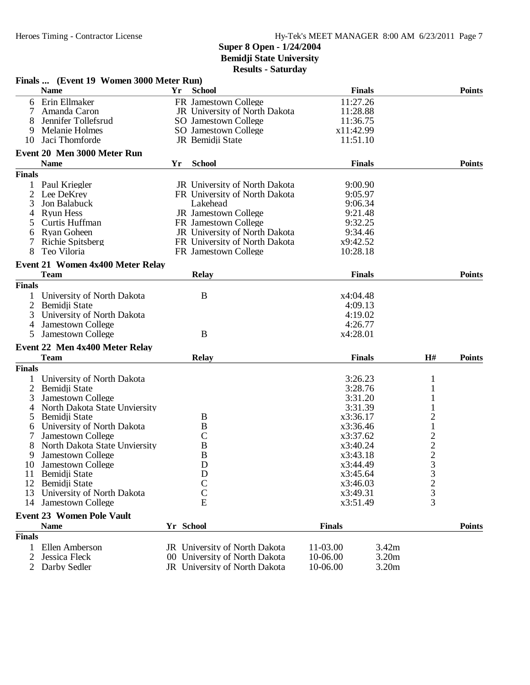|               | Finals  (Event 19 Women 3000 Meter Run) |    |                               |               |       |                                                      |               |
|---------------|-----------------------------------------|----|-------------------------------|---------------|-------|------------------------------------------------------|---------------|
|               | <b>Name</b>                             | Yr | <b>School</b>                 | <b>Finals</b> |       |                                                      | <b>Points</b> |
| 6             | Erin Ellmaker                           |    | FR Jamestown College          | 11:27.26      |       |                                                      |               |
|               | Amanda Caron                            |    | JR University of North Dakota | 11:28.88      |       |                                                      |               |
|               | Jennifer Tollefsrud                     |    | <b>SO</b> Jamestown College   | 11:36.75      |       |                                                      |               |
| 9             | <b>Melanie Holmes</b>                   |    | <b>SO</b> Jamestown College   | x11:42.99     |       |                                                      |               |
| 10            | Jaci Thomforde                          |    | JR Bemidji State              | 11:51.10      |       |                                                      |               |
|               | Event 20 Men 3000 Meter Run             |    |                               |               |       |                                                      |               |
|               | <b>Name</b>                             | Yr | <b>School</b>                 | <b>Finals</b> |       |                                                      | <b>Points</b> |
| <b>Finals</b> |                                         |    |                               |               |       |                                                      |               |
|               | 1 Paul Kriegler                         |    | JR University of North Dakota | 9:00.90       |       |                                                      |               |
| 2             | Lee DeKrey                              |    | FR University of North Dakota | 9:05.97       |       |                                                      |               |
| 3             | Jon Balabuck                            |    | Lakehead                      | 9:06.34       |       |                                                      |               |
| 4             | <b>Ryun Hess</b>                        |    | <b>JR</b> Jamestown College   | 9:21.48       |       |                                                      |               |
| 5             | Curtis Huffman                          |    | FR Jamestown College          | 9:32.25       |       |                                                      |               |
| 6             | Ryan Goheen                             |    | JR University of North Dakota | 9:34.46       |       |                                                      |               |
|               | Richie Spitsberg                        |    | FR University of North Dakota | x9:42.52      |       |                                                      |               |
| 8             | Teo Viloria                             |    | FR Jamestown College          | 10:28.18      |       |                                                      |               |
|               |                                         |    |                               |               |       |                                                      |               |
|               | Event 21 Women 4x400 Meter Relay        |    |                               |               |       |                                                      |               |
|               | <b>Team</b>                             |    | <b>Relay</b>                  | <b>Finals</b> |       |                                                      | <b>Points</b> |
| <b>Finals</b> |                                         |    |                               |               |       |                                                      |               |
|               | University of North Dakota              |    | B                             | x4:04.48      |       |                                                      |               |
| 2             | Bemidji State                           |    |                               | 4:09.13       |       |                                                      |               |
| 3             | University of North Dakota              |    |                               | 4:19.02       |       |                                                      |               |
| 4             | Jamestown College                       |    |                               | 4:26.77       |       |                                                      |               |
| 5             | Jamestown College                       |    | B                             | x4:28.01      |       |                                                      |               |
|               | Event 22 Men 4x400 Meter Relay          |    |                               |               |       |                                                      |               |
|               | <b>Team</b>                             |    | <b>Relay</b>                  | <b>Finals</b> |       | H#                                                   | <b>Points</b> |
| <b>Finals</b> |                                         |    |                               |               |       |                                                      |               |
|               | University of North Dakota              |    |                               | 3:26.23       |       | 1                                                    |               |
| 2             | Bemidji State                           |    |                               | 3:28.76       |       |                                                      |               |
| 3             | Jamestown College                       |    |                               | 3:31.20       |       |                                                      |               |
| 4             | North Dakota State Unviersity           |    |                               | 3:31.39       |       |                                                      |               |
| 5             | Bemidji State                           |    | B                             | x3:36.17      |       | $\overline{c}$                                       |               |
| 6             | University of North Dakota              |    | B                             | x3:36.46      |       | $\,1\,$                                              |               |
| 7             | Jamestown College                       |    | $\mathcal{C}$                 | x3:37.62      |       |                                                      |               |
| 8             | North Dakota State Unviersity           |    | B                             | x3:40.24      |       | $\frac{2}{2}$                                        |               |
| 9             | Jamestown College                       |    | B                             | x3:43.18      |       |                                                      |               |
| 10            | <b>Jamestown College</b>                |    | D                             | x3:44.49      |       |                                                      |               |
| 11            | Bemidji State                           |    | D                             | x3:45.64      |       |                                                      |               |
| 12            | Bemidji State                           |    | $\mathsf{C}$                  | x3:46.03      |       |                                                      |               |
| 13            | University of North Dakota              |    | $\overline{C}$                | x3:49.31      |       |                                                      |               |
| 14            | <b>Jamestown College</b>                |    | E                             | x3:51.49      |       | $\begin{array}{c} 3 \\ 3 \\ 2 \\ 3 \\ 3 \end{array}$ |               |
|               |                                         |    |                               |               |       |                                                      |               |
|               | <b>Event 23 Women Pole Vault</b>        |    |                               |               |       |                                                      |               |
|               | <b>Name</b>                             |    | Yr School                     | <b>Finals</b> |       |                                                      | <b>Points</b> |
| <b>Finals</b> |                                         |    |                               |               |       |                                                      |               |
|               | Ellen Amberson                          |    | JR University of North Dakota | 11-03.00      | 3.42m |                                                      |               |
| 2             | Jessica Fleck                           |    | 00 University of North Dakota | 10-06.00      | 3.20m |                                                      |               |
|               | 2 Darby Sedler                          |    | JR University of North Dakota | 10-06.00      | 3.20m |                                                      |               |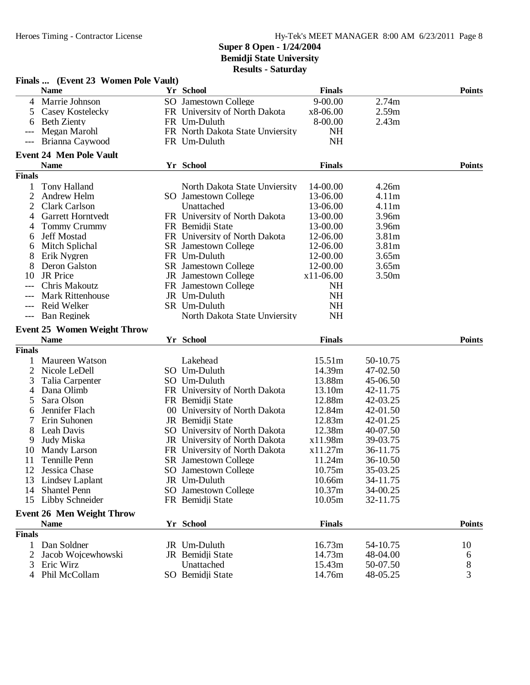|                | Finals  (Event 23 Women Pole Vault)               |                                  |               |                   |               |
|----------------|---------------------------------------------------|----------------------------------|---------------|-------------------|---------------|
|                | <b>Name</b>                                       | Yr School                        | <b>Finals</b> |                   | <b>Points</b> |
| $\overline{4}$ | Marrie Johnson                                    | SO Jamestown College             | $9 - 00.00$   | 2.74m             |               |
| 5              | Casey Kostelecky                                  | FR University of North Dakota    | x8-06.00      | 2.59m             |               |
| 6              | <b>Beth Zienty</b>                                | FR Um-Duluth                     | 8-00.00       | 2.43 <sub>m</sub> |               |
|                | Megan Marohl                                      | FR North Dakota State Unviersity | <b>NH</b>     |                   |               |
| $---$          | Brianna Caywood                                   | FR Um-Duluth                     | <b>NH</b>     |                   |               |
|                | <b>Event 24 Men Pole Vault</b>                    |                                  |               |                   |               |
|                | <b>Name</b>                                       | Yr School                        | <b>Finals</b> |                   | <b>Points</b> |
| <b>Finals</b>  |                                                   |                                  |               |                   |               |
| 1              | Tony Halland                                      | North Dakota State Unviersity    | 14-00.00      | 4.26m             |               |
| $\overline{2}$ | Andrew Helm                                       | SO Jamestown College             | 13-06.00      | 4.11m             |               |
| 2              | Clark Carlson                                     | Unattached                       | 13-06.00      | 4.11m             |               |
| 4              | Garrett Horntvedt                                 | FR University of North Dakota    | 13-00.00      | 3.96m             |               |
| 4              | <b>Tommy Crummy</b>                               | FR Bemidji State                 | 13-00.00      | 3.96m             |               |
| 6              | Jeff Mostad                                       | FR University of North Dakota    | 12-06.00      | 3.81m             |               |
| 6              | Mitch Splichal                                    | <b>SR</b> Jamestown College      | 12-06.00      | 3.81m             |               |
| 8              | Erik Nygren                                       | FR Um-Duluth                     | 12-00.00      | 3.65m             |               |
| 8              | Deron Galston                                     | <b>SR</b> Jamestown College      | 12-00.00      | 3.65m             |               |
| 10             | JR Price                                          | <b>JR</b> Jamestown College      | $x11-06.00$   | 3.50 <sub>m</sub> |               |
|                | Chris Makoutz                                     | FR Jamestown College             | <b>NH</b>     |                   |               |
|                | <b>Mark Rittenhouse</b>                           | JR Um-Duluth                     | <b>NH</b>     |                   |               |
| $---$          | Reid Welker                                       | SR Um-Duluth                     | <b>NH</b>     |                   |               |
| $---$          | <b>Ban Reginek</b>                                | North Dakota State Unviersity    | NH            |                   |               |
|                |                                                   |                                  |               |                   |               |
|                | <b>Event 25 Women Weight Throw</b><br><b>Name</b> | Yr School                        | <b>Finals</b> |                   | <b>Points</b> |
| <b>Finals</b>  |                                                   |                                  |               |                   |               |
| 1              | <b>Maureen Watson</b>                             | Lakehead                         | 15.51m        | 50-10.75          |               |
| $\overline{2}$ | Nicole LeDell                                     | SO Um-Duluth                     | 14.39m        | 47-02.50          |               |
|                | Talia Carpenter                                   | SO Um-Duluth                     | 13.88m        | 45-06.50          |               |
| 3<br>4         | Dana Olimb                                        | FR University of North Dakota    | 13.10m        | 42-11.75          |               |
| 5              | Sara Olson                                        | FR Bemidji State                 | 12.88m        | 42-03.25          |               |
| 6              | Jennifer Flach                                    | 00 University of North Dakota    | 12.84m        | 42-01.50          |               |
|                | Erin Suhonen                                      | JR Bemidji State                 | 12.83m        | 42-01.25          |               |
| 8              | Leah Davis                                        |                                  | 12.38m        |                   |               |
|                |                                                   | SO University of North Dakota    |               | 40-07.50          |               |
| 9              | Judy Miska                                        | JR University of North Dakota    | x11.98m       | 39-03.75          |               |
| 10             | <b>Mandy Larson</b>                               | FR University of North Dakota    | x11.27m       | 36-11.75          |               |
| 11             | Tennille Penn                                     | SR Jamestown College             | 11.24m        | 36-10.50          |               |
|                | 12 Jessica Chase                                  | SO Jamestown College             | 10.75m        | 35-03.25          |               |
| 13             | Lindsey Laplant                                   | JR Um-Duluth                     | 10.66m        | 34-11.75          |               |
| 14             | <b>Shantel Penn</b>                               | SO Jamestown College             | 10.37m        | 34-00.25          |               |
|                | 15 Libby Schneider                                | FR Bemidji State                 | 10.05m        | 32-11.75          |               |
|                | <b>Event 26 Men Weight Throw</b>                  |                                  |               |                   |               |
|                | <b>Name</b>                                       | Yr School                        | <b>Finals</b> |                   | <b>Points</b> |
| <b>Finals</b>  |                                                   |                                  |               |                   |               |
| 1              | Dan Soldner                                       | JR Um-Duluth                     | 16.73m        | 54-10.75          | 10            |
|                | Jacob Wojcewhowski                                | JR Bemidji State                 | 14.73m        | 48-04.00          | 6             |
| 3              | Eric Wirz                                         | Unattached                       | 15.43m        | 50-07.50          | 8             |
| $\overline{4}$ | Phil McCollam                                     | SO Bemidji State                 | 14.76m        | 48-05.25          | 3             |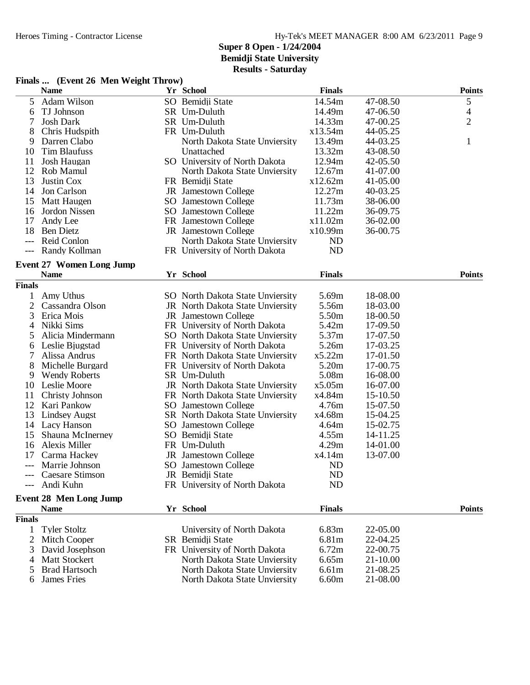# **Super 8 Open - 1/24/2004 Bemidji State University**

|               | Finals  (Event 26 Men Weight Throw) |                                  |               |              |                |
|---------------|-------------------------------------|----------------------------------|---------------|--------------|----------------|
|               | <b>Name</b>                         | Yr School                        | <b>Finals</b> |              | <b>Points</b>  |
| 5             | <b>Adam Wilson</b>                  | SO Bemidji State                 | 14.54m        | 47-08.50     | 5              |
| 6             | TJ Johnson                          | SR Um-Duluth                     | 14.49m        | 47-06.50     | 4              |
| 7             | <b>Josh Dark</b>                    | SR Um-Duluth                     | 14.33m        | 47-00.25     | $\overline{2}$ |
| 8             | Chris Hudspith                      | FR Um-Duluth                     | x13.54m       | 44-05.25     |                |
| 9             | Darren Clabo                        | North Dakota State Unviersity    | 13.49m        | 44-03.25     | $\mathbf{1}$   |
| 10            | Tim Blaufuss                        | Unattached                       | 13.32m        | 43-08.50     |                |
| 11            | Josh Haugan                         | SO University of North Dakota    | 12.94m        | 42-05.50     |                |
| 12            | Rob Mamul                           | North Dakota State Unviersity    | 12.67m        | 41-07.00     |                |
| 13            | Justin Cox                          | FR Bemidji State                 | x12.62m       | 41-05.00     |                |
| 14            | Jon Carlson                         | JR Jamestown College             | 12.27m        | 40-03.25     |                |
| 15            | Matt Haugen                         | SO Jamestown College             | 11.73m        | 38-06.00     |                |
| 16            | Jordon Nissen                       | SO Jamestown College             | 11.22m        | 36-09.75     |                |
| 17            | Andy Lee                            | FR Jamestown College             | x11.02m       | 36-02.00     |                |
| 18            | <b>Ben Dietz</b>                    | <b>JR</b> Jamestown College      | x10.99m       | 36-00.75     |                |
| $---$         | Reid Conlon                         | North Dakota State Unviersity    | ND            |              |                |
|               | Randy Kollman                       | FR University of North Dakota    | ND            |              |                |
|               |                                     |                                  |               |              |                |
|               | <b>Event 27 Women Long Jump</b>     |                                  |               |              |                |
| <b>Finals</b> | <b>Name</b>                         | Yr School                        | <b>Finals</b> |              | <b>Points</b>  |
|               |                                     |                                  |               |              |                |
| 1             | Amy Uthus                           | SO North Dakota State Unviersity | 5.69m         | 18-08.00     |                |
| 2             | Cassandra Olson                     | JR North Dakota State Unviersity | 5.56m         | 18-03.00     |                |
| 3             | Erica Mois                          | <b>JR</b> Jamestown College      | 5.50m         | 18-00.50     |                |
| 4             | Nikki Sims                          | FR University of North Dakota    | 5.42m         | 17-09.50     |                |
| 5             | Alicia Mindermann                   | SO North Dakota State Unviersity | 5.37m         | 17-07.50     |                |
| 6             | Leslie Bjugstad                     | FR University of North Dakota    | 5.26m         | 17-03.25     |                |
|               | Alissa Andrus                       | FR North Dakota State Unviersity | x5.22m        | 17-01.50     |                |
| 8             | Michelle Burgard                    | FR University of North Dakota    | 5.20m         | 17-00.75     |                |
| 9             | <b>Wendy Roberts</b>                | SR Um-Duluth                     | 5.08m         | 16-08.00     |                |
|               | 10 Leslie Moore                     | JR North Dakota State Unviersity | x5.05m        | 16-07.00     |                |
| 11            | Christy Johnson                     | FR North Dakota State Unviersity | x4.84m        | 15-10.50     |                |
|               | 12 Kari Pankow                      | SO Jamestown College             | 4.76m         | 15-07.50     |                |
| 13            | <b>Lindsey Augst</b>                | SR North Dakota State Unviersity | x4.68m        | 15-04.25     |                |
|               | 14 Lacy Hanson                      | SO Jamestown College             | 4.64m         | 15-02.75     |                |
| 15            | Shauna McInerney                    | SO Bemidji State                 | 4.55m         | 14-11.25     |                |
| 16            | Alexis Miller                       | FR Um-Duluth                     | 4.29m         | 14-01.00     |                |
| 17            | Carma Hackey                        | <b>JR</b> Jamestown College      | x4.14m        | 13-07.00     |                |
|               | Marrie Johnson                      | SO Jamestown College             | ND            |              |                |
|               | <b>Caesare Stimson</b>              | JR Bemidii State                 | ND            |              |                |
|               | Andi Kuhn                           | FR University of North Dakota    | ND            |              |                |
|               | <b>Event 28 Men Long Jump</b>       |                                  |               |              |                |
|               | <b>Name</b>                         | Yr School                        | <b>Finals</b> |              | <b>Points</b>  |
| <b>Finals</b> |                                     |                                  |               |              |                |
| 1             | <b>Tyler Stoltz</b>                 | University of North Dakota       | 6.83m         | 22-05.00     |                |
| 2             | Mitch Cooper                        | SR Bemidii State                 | 6.81m         | 22-04.25     |                |
| 3             | David Josephson                     | FR University of North Dakota    | 6.72m         | 22-00.75     |                |
| 4             | Matt Stockert                       | North Dakota State Unviersity    | 6.65m         | $21 - 10.00$ |                |
| 5             | <b>Brad Hartsoch</b>                | North Dakota State Unviersity    | 6.61m         | 21-08.25     |                |
| 6             | <b>James Fries</b>                  | North Dakota State Unviersity    | 6.60m         | 21-08.00     |                |
|               |                                     |                                  |               |              |                |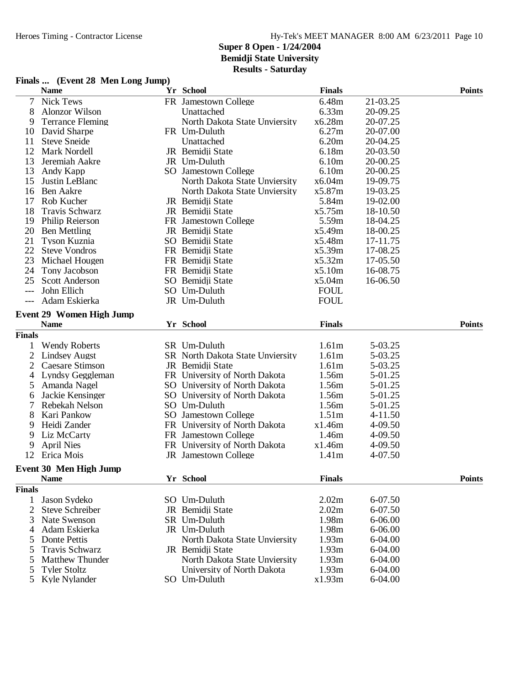#### **Finals ... (Event 28 Men Long Jump)**

|                | <b>Name</b>                   | Yr School                               | <b>Finals</b>     |             | <b>Points</b> |
|----------------|-------------------------------|-----------------------------------------|-------------------|-------------|---------------|
| 7              | <b>Nick Tews</b>              | FR Jamestown College                    | 6.48m             | 21-03.25    |               |
| 8              | <b>Alonzor Wilson</b>         | Unattached                              | 6.33m             | 20-09.25    |               |
| 9              | <b>Terrance Fleming</b>       | North Dakota State Unviersity           | x6.28m            | 20-07.25    |               |
| 10             | David Sharpe                  | FR Um-Duluth                            | 6.27m             | 20-07.00    |               |
| 11             | <b>Steve Sneide</b>           | Unattached                              | 6.20m             | 20-04.25    |               |
| 12             | Mark Nordell                  | JR Bemidji State                        | 6.18m             | 20-03.50    |               |
| 13             | Jeremiah Aakre                | JR Um-Duluth                            | 6.10m             | 20-00.25    |               |
| 13             | Andy Kapp                     | SO Jamestown College                    | 6.10m             | 20-00.25    |               |
| 15             | Justin LeBlanc                | North Dakota State Unviersity           | x6.04m            | 19-09.75    |               |
| 16             | <b>Ben Aakre</b>              | North Dakota State Unviersity           | x5.87m            | 19-03.25    |               |
| 17             | Rob Kucher                    | JR Bemidji State                        | 5.84m             | 19-02.00    |               |
| 18             | Travis Schwarz                | JR Bemidji State                        | x5.75m            | 18-10.50    |               |
| 19             | Philip Reierson               | FR Jamestown College                    | 5.59m             | 18-04.25    |               |
| 20             | <b>Ben Mettling</b>           | JR Bemidji State                        | x5.49m            | 18-00.25    |               |
| 21             | Tyson Kuznia                  | SO Bemidji State                        | x5.48m            | 17-11.75    |               |
| 22             | <b>Steve Vondros</b>          | FR Bemidji State                        | x5.39m            | 17-08.25    |               |
| 23             | Michael Hougen                | FR Bemidji State                        | x5.32m            | 17-05.50    |               |
| 24             | Tony Jacobson                 | FR Bemidji State                        | x5.10m            | 16-08.75    |               |
| 25             | Scott Anderson                | SO Bemidji State                        | x5.04m            | 16-06.50    |               |
| $---$          | John Ellich                   | SO Um-Duluth                            | <b>FOUL</b>       |             |               |
| $---$          | Adam Eskierka                 | JR Um-Duluth                            | <b>FOUL</b>       |             |               |
|                | Event 29 Women High Jump      |                                         |                   |             |               |
|                | <b>Name</b>                   | Yr School                               | <b>Finals</b>     |             | <b>Points</b> |
| <b>Finals</b>  |                               |                                         |                   |             |               |
| 1              | <b>Wendy Roberts</b>          | SR Um-Duluth                            | 1.61m             | 5-03.25     |               |
| $\overline{2}$ | <b>Lindsey Augst</b>          | <b>SR</b> North Dakota State Unviersity | 1.61 <sub>m</sub> | 5-03.25     |               |
| 2              | Caesare Stimson               | JR Bemidji State                        | 1.61m             | 5-03.25     |               |
| 4              | Lyndsy Geggleman              | FR University of North Dakota           | 1.56m             | 5-01.25     |               |
| 5              | Amanda Nagel                  | SO University of North Dakota           | 1.56m             | 5-01.25     |               |
| 6              | Jackie Kensinger              | SO University of North Dakota           | 1.56m             | 5-01.25     |               |
| 7              | Rebekah Nelson                | SO Um-Duluth                            | 1.56m             | 5-01.25     |               |
| 8              | Kari Pankow                   | SO Jamestown College                    | 1.51 <sub>m</sub> | 4-11.50     |               |
| 9              | Heidi Zander                  | FR University of North Dakota           | x1.46m            | 4-09.50     |               |
| 9              | Liz McCarty                   | FR Jamestown College                    | 1.46m             | 4-09.50     |               |
| 9              | <b>April Nies</b>             | FR University of North Dakota           | x1.46m            | 4-09.50     |               |
| 12             | Erica Mois                    | JR Jamestown College                    | 1.41 <sub>m</sub> | 4-07.50     |               |
|                | <b>Event 30 Men High Jump</b> |                                         |                   |             |               |
|                | <b>Name</b>                   | Yr School                               | <b>Finals</b>     |             | <b>Points</b> |
| <b>Finals</b>  |                               |                                         |                   |             |               |
| 1              | Jason Sydeko                  | SO Um-Duluth                            | 2.02m             | 6-07.50     |               |
| 2              | <b>Steve Schreiber</b>        | JR Bemidji State                        | 2.02m             | 6-07.50     |               |
| 3              | Nate Swenson                  | SR Um-Duluth                            | 1.98m             | $6 - 06.00$ |               |
| 4              | Adam Eskierka                 | JR Um-Duluth                            | 1.98m             | $6 - 06.00$ |               |
| 5              | Donte Pettis                  | North Dakota State Unviersity           | 1.93m             | 6-04.00     |               |
| 5              | Travis Schwarz                | JR Bemidii State                        | 1.93m             | 6-04.00     |               |
| 5              | <b>Matthew Thunder</b>        | North Dakota State Unviersity           | 1.93m             | 6-04.00     |               |
| 5              | <b>Tyler Stoltz</b>           | University of North Dakota              | 1.93m             | 6-04.00     |               |
| 5              | Kyle Nylander                 | SO Um-Duluth                            | x1.93m            | $6 - 04.00$ |               |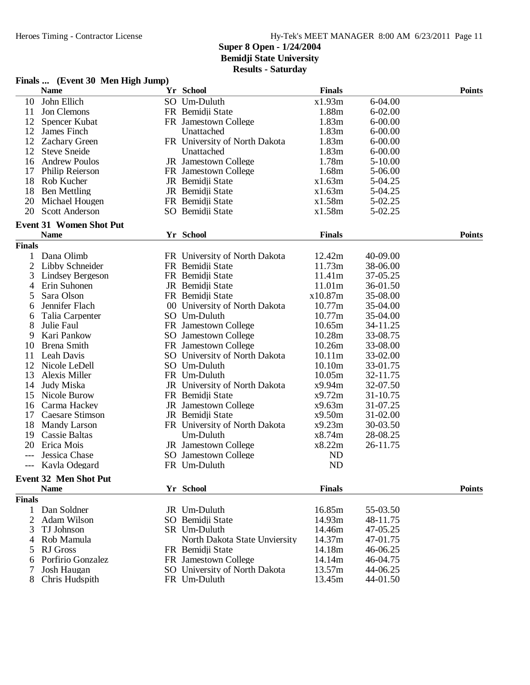# Heroes Timing - Contractor License Hy-Tek's MEET MANAGER 8:00 AM 6/23/2011 Page 11

# **Super 8 Open - 1/24/2004 Bemidji State University**

|                | Finals  (Event 30 Men High Jump) |                               |               |             |               |
|----------------|----------------------------------|-------------------------------|---------------|-------------|---------------|
|                | <b>Name</b>                      | Yr School                     | <b>Finals</b> |             | <b>Points</b> |
| 10             | John Ellich                      | SO Um-Duluth                  | x1.93m        | $6 - 04.00$ |               |
| 11             | Jon Clemons                      | FR Bemidji State              | 1.88m         | $6 - 02.00$ |               |
| 12             | Spencer Kubat                    | FR Jamestown College          | 1.83m         | $6 - 00.00$ |               |
| 12             | James Finch                      | Unattached                    | 1.83m         | $6 - 00.00$ |               |
| 12             | <b>Zachary Green</b>             | FR University of North Dakota | 1.83m         | $6 - 00.00$ |               |
| 12             | <b>Steve Sneide</b>              | Unattached                    | 1.83m         | $6 - 00.00$ |               |
| 16             | <b>Andrew Poulos</b>             | JR Jamestown College          | 1.78m         | 5-10.00     |               |
| 17             | <b>Philip Reierson</b>           | FR Jamestown College          | 1.68m         | 5-06.00     |               |
| 18             | Rob Kucher                       | JR Bemidji State              | x1.63m        | 5-04.25     |               |
| 18             | <b>Ben Mettling</b>              | JR Bemidji State              | x1.63m        | 5-04.25     |               |
| 20             | Michael Hougen                   | FR Bemidji State              | x1.58m        | 5-02.25     |               |
| 20             | <b>Scott Anderson</b>            | SO Bemidji State              | x1.58m        | 5-02.25     |               |
|                | <b>Event 31 Women Shot Put</b>   |                               |               |             |               |
|                | <b>Name</b>                      | Yr School                     | <b>Finals</b> |             | <b>Points</b> |
| <b>Finals</b>  |                                  |                               |               |             |               |
|                | Dana Olimb                       | FR University of North Dakota | 12.42m        | 40-09.00    |               |
| $\overline{2}$ | Libby Schneider                  | FR Bemidji State              | 11.73m        | 38-06.00    |               |
| 3              | Lindsey Bergeson                 | FR Bemidji State              | 11.41m        | 37-05.25    |               |
| 4              | Erin Suhonen                     | JR Bemidji State              | 11.01m        | 36-01.50    |               |
| 5              | Sara Olson                       | FR Bemidji State              | x10.87m       | 35-08.00    |               |
| 6              | Jennifer Flach                   | 00 University of North Dakota | 10.77m        | 35-04.00    |               |
| 6              | Talia Carpenter                  | SO Um-Duluth                  | 10.77m        | 35-04.00    |               |
| 8              | Julie Faul                       | FR Jamestown College          | 10.65m        | 34-11.25    |               |
| 9              | Kari Pankow                      | SO Jamestown College          | 10.28m        | 33-08.75    |               |
| 10             | <b>Brena Smith</b>               | FR Jamestown College          | 10.26m        | 33-08.00    |               |
| 11             | Leah Davis                       | SO University of North Dakota | 10.11m        | 33-02.00    |               |
| 12             | Nicole LeDell                    | SO Um-Duluth                  | 10.10m        | 33-01.75    |               |
| 13             | Alexis Miller                    | FR Um-Duluth                  | 10.05m        | 32-11.75    |               |
| 14             | Judy Miska                       | JR University of North Dakota | x9.94m        | 32-07.50    |               |
| 15             | Nicole Burow                     | FR Bemidji State              | x9.72m        | 31-10.75    |               |
| 16             | Carma Hackey                     | <b>JR</b> Jamestown College   | x9.63m        | 31-07.25    |               |
| 17             | <b>Caesare Stimson</b>           | JR Bemidji State              | x9.50m        | 31-02.00    |               |
| 18             | <b>Mandy Larson</b>              | FR University of North Dakota | x9.23m        | 30-03.50    |               |
| 19             | Cassie Baltas                    | Um-Duluth                     | x8.74m        | 28-08.25    |               |
| 20             | Erica Mois                       | JR Jamestown College          | x8.22m        | 26-11.75    |               |
| ---            | Jessica Chase                    | SO Jamestown College          | <b>ND</b>     |             |               |
|                | Kayla Odegard                    | FR Um-Duluth                  | <b>ND</b>     |             |               |
|                | <b>Event 32 Men Shot Put</b>     |                               |               |             |               |
|                | <b>Name</b>                      | Yr School                     | <b>Finals</b> |             | <b>Points</b> |
| <b>Finals</b>  |                                  |                               |               |             |               |
| 1              | Dan Soldner                      | JR Um-Duluth                  | 16.85m        | 55-03.50    |               |
| 2              | Adam Wilson                      | SO Bemidji State              | 14.93m        | 48-11.75    |               |
| 3              | TJ Johnson                       | SR Um-Duluth                  | 14.46m        | 47-05.25    |               |
| 4              | Rob Mamula                       | North Dakota State Unviersity | 14.37m        | 47-01.75    |               |
| 5              | RJ Gross                         | FR Bemidji State              | 14.18m        | 46-06.25    |               |
| 6              | Porfirio Gonzalez                | FR Jamestown College          | 14.14m        | 46-04.75    |               |
| 7              | Josh Haugan                      | SO University of North Dakota | 13.57m        | 44-06.25    |               |
| 8              | Chris Hudspith                   | FR Um-Duluth                  | 13.45m        | 44-01.50    |               |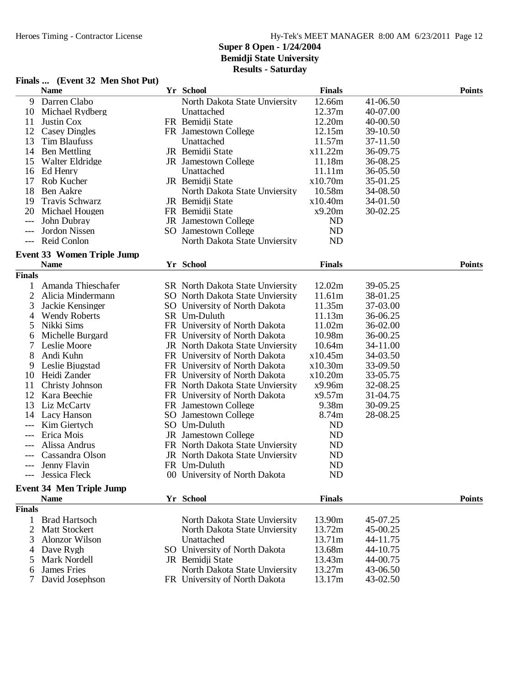# Heroes Timing - Contractor License Hy-Tek's MEET MANAGER 8:00 AM 6/23/2011 Page 12

# **Super 8 Open - 1/24/2004 Bemidji State University Results - Saturday**

#### **Finals ... (Event 32 Men Shot Put)**

|                | <b>Name</b>                           | Yr School                               | <b>Finals</b>  |          | <b>Points</b> |
|----------------|---------------------------------------|-----------------------------------------|----------------|----------|---------------|
| 9              | Darren Clabo                          | North Dakota State Unviersity           | 12.66m         | 41-06.50 |               |
| 10             | Michael Rydberg                       | Unattached                              | 12.37m         | 40-07.00 |               |
| 11             | Justin Cox                            | FR Bemidji State                        | 12.20m         | 40-00.50 |               |
| 12             | <b>Casey Dingles</b>                  | FR Jamestown College                    | 12.15m         | 39-10.50 |               |
| 13             | Tim Blaufuss                          | Unattached                              | 11.57m         | 37-11.50 |               |
| 14             | <b>Ben Mettling</b>                   | JR Bemidji State                        | x11.22m        | 36-09.75 |               |
| 15             | Walter Eldridge                       | JR Jamestown College                    | 11.18m         | 36-08.25 |               |
| 16             | Ed Henry                              | Unattached                              | 11.11m         | 36-05.50 |               |
| 17             | Rob Kucher                            | JR Bemidji State                        | x10.70m        | 35-01.25 |               |
| 18             | <b>Ben Aakre</b>                      | North Dakota State Unviersity           | 10.58m         | 34-08.50 |               |
| 19             | Travis Schwarz                        | JR Bemidji State                        | x10.40m        | 34-01.50 |               |
| 20             | Michael Hougen                        | FR Bemidji State                        | x9.20m         | 30-02.25 |               |
| $---$          | John Dubray                           | JR Jamestown College                    | ND             |          |               |
|                | Jordon Nissen                         | SO Jamestown College                    | ND             |          |               |
| $--$           | Reid Conlon                           | North Dakota State Unviersity           | <b>ND</b>      |          |               |
|                | <b>Event 33 Women Triple Jump</b>     |                                         |                |          |               |
|                | <b>Name</b>                           | Yr School                               | <b>Finals</b>  |          | <b>Points</b> |
| <b>Finals</b>  |                                       |                                         |                |          |               |
| 1              | Amanda Thieschafer                    | <b>SR</b> North Dakota State Unviersity | 12.02m         | 39-05.25 |               |
| $\overline{2}$ |                                       | SO North Dakota State Unviersity        | 11.61m         | 38-01.25 |               |
| 3              | Alicia Mindermann<br>Jackie Kensinger | SO University of North Dakota           | 11.35m         | 37-03.00 |               |
|                |                                       | SR Um-Duluth                            | 11.13m         | 36-06.25 |               |
| 4<br>5         | <b>Wendy Roberts</b><br>Nikki Sims    | FR University of North Dakota           | 11.02m         | 36-02.00 |               |
| 6              | Michelle Burgard                      | FR University of North Dakota           | 10.98m         | 36-00.25 |               |
| 7              | Leslie Moore                          | JR North Dakota State Unviersity        | 10.64m         | 34-11.00 |               |
| 8              | Andi Kuhn                             | FR University of North Dakota           | x10.45m        | 34-03.50 |               |
|                | Leslie Bjugstad                       | FR University of North Dakota           | x10.30m        | 33-09.50 |               |
| 9<br>10        | Heidi Zander                          | FR University of North Dakota           | x10.20m        | 33-05.75 |               |
| 11             | Christy Johnson                       | FR North Dakota State Unviersity        | x9.96m         | 32-08.25 |               |
| 12             | Kara Beechie                          | FR University of North Dakota           | x9.57m         | 31-04.75 |               |
| 13             | Liz McCarty                           | FR Jamestown College                    | 9.38m          | 30-09.25 |               |
| 14             | Lacy Hanson                           | SO Jamestown College                    | 8.74m          | 28-08.25 |               |
| $---$          | Kim Giertych                          | SO Um-Duluth                            | ND             |          |               |
| $---$          | Erica Mois                            | <b>JR</b> Jamestown College             | <b>ND</b>      |          |               |
|                | Alissa Andrus                         | FR North Dakota State Unviersity        | <b>ND</b>      |          |               |
|                | Cassandra Olson                       | JR North Dakota State Unviersity        | <b>ND</b>      |          |               |
|                | Jenny Flavin                          | FR Um-Duluth                            | <b>ND</b>      |          |               |
|                | --- Jessica Fleck                     | 00 University of North Dakota           | N <sub>D</sub> |          |               |
|                |                                       |                                         |                |          |               |
|                | <b>Event 34 Men Triple Jump</b>       |                                         |                |          |               |
|                | <b>Name</b>                           | Yr School                               | <b>Finals</b>  |          | <b>Points</b> |
| <b>Finals</b>  |                                       |                                         |                |          |               |
| 1              | <b>Brad Hartsoch</b>                  | North Dakota State Unviersity           | 13.90m         | 45-07.25 |               |
| $\overline{2}$ | Matt Stockert                         | North Dakota State Unviersity           | 13.72m         | 45-00.25 |               |
| 3              | Alonzor Wilson                        | Unattached                              | 13.71m         | 44-11.75 |               |
| 4              | Dave Rygh                             | SO University of North Dakota           | 13.68m         | 44-10.75 |               |
| 5              | Mark Nordell                          | JR Bemidji State                        | 13.43m         | 44-00.75 |               |
| 6              | <b>James Fries</b>                    | North Dakota State Unviersity           | 13.27m         | 43-06.50 |               |
| 7              | David Josephson                       | FR University of North Dakota           | 13.17m         | 43-02.50 |               |